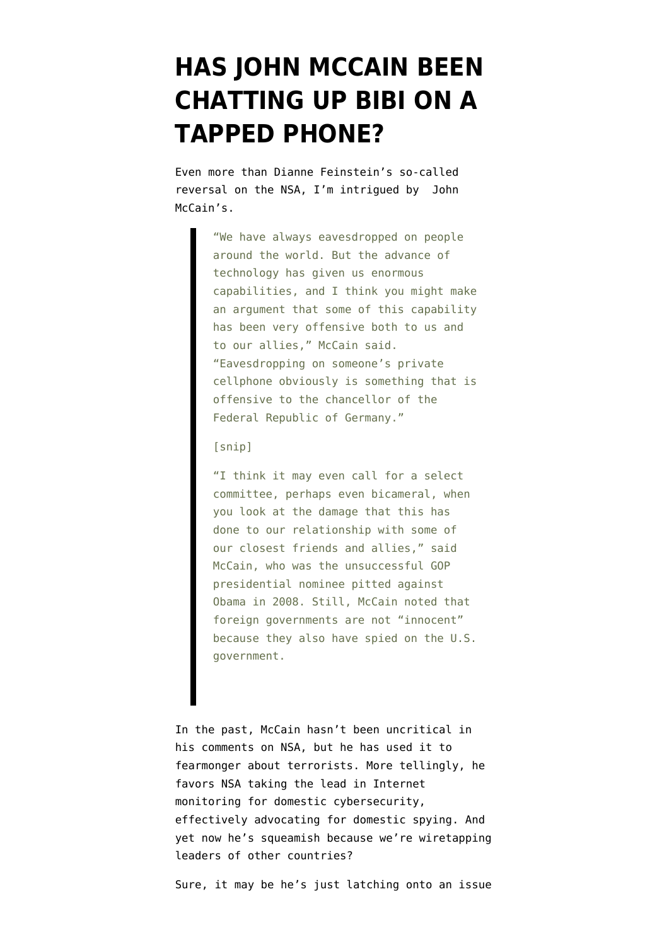## **[HAS JOHN MCCAIN BEEN](https://www.emptywheel.net/2013/10/28/has-john-mccain-been-chatting-up-bibi-on-a-tapped-phone/) [CHATTING UP BIBI ON A](https://www.emptywheel.net/2013/10/28/has-john-mccain-been-chatting-up-bibi-on-a-tapped-phone/) [TAPPED PHONE?](https://www.emptywheel.net/2013/10/28/has-john-mccain-been-chatting-up-bibi-on-a-tapped-phone/)**

Even more than Dianne Feinstein's so-called reversal on the NSA, I'm intrigued by [John](http://www.chicagotribune.com/news/politics/clout/chi-mccain-select-hearings-may-be-needed-on-nsa-eavesdropping-20131028,0,3608811.story) [McCain's.](http://www.chicagotribune.com/news/politics/clout/chi-mccain-select-hearings-may-be-needed-on-nsa-eavesdropping-20131028,0,3608811.story)

> "We have always eavesdropped on people around the world. But the advance of technology has given us enormous capabilities, and I think you might make an argument that some of this capability has been very offensive both to us and to our allies," McCain said. "Eavesdropping on someone's private cellphone obviously is something that is offensive to the chancellor of the Federal Republic of Germany."

## [snip]

"I think it may even call for a select committee, perhaps even bicameral, when you look at the damage that this has done to our relationship with some of our closest friends and allies," said McCain, who was the unsuccessful GOP presidential nominee pitted against Obama in 2008. Still, McCain noted that foreign governments are not "innocent" because they also have spied on the U.S. government.

In the past, McCain hasn't been uncritical in his comments on NSA, but he has used it to [fearmonger about terrorists](http://www.mediaite.com/tv/sen-mccain-defends-nsa-to-crowley-we-wouldnt-be-arguing-if-this-was-september-12-2001/). More tellingly, he [favors](http://www.wired.com/threatlevel/2012/02/cybersecurity-act-of-2012/) NSA taking the lead in Internet monitoring for domestic cybersecurity, effectively advocating for domestic spying. And yet now he's squeamish because we're wiretapping leaders of other countries?

Sure, it may be he's just latching onto an issue